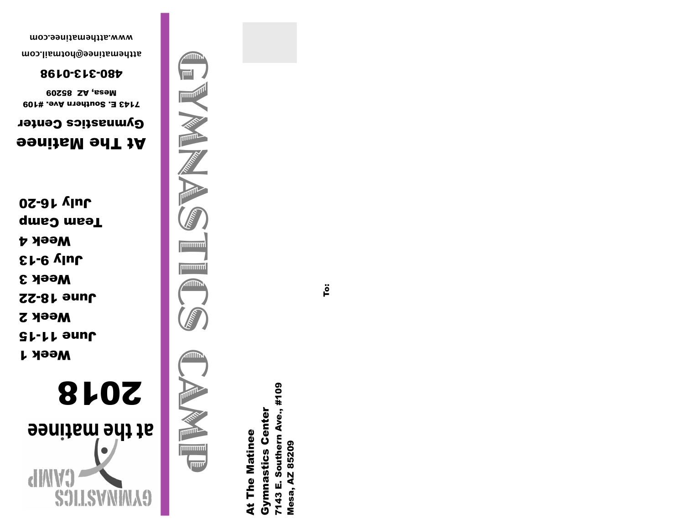

**h** 199W June 11-15 Week 2 June 18-22 Week 3 July 9-13 Week 4 Team Camp July 16-20

# At The Matinee

Gymnastics Center 7143 E. Southern Ave. #109

**80228 SS209** 

480-313-0198

**[atthematinee@hotmail.com](mailto:atthematinee@hotmail.com) [www.atthematinee.com](http://www.atthematinee.com)**



7143 E. Southern Ave., #109 Southern Ave., #109 **Gymnastics Center** Gymnastics Center At The Matinee **At The Matinee** Mesa, AZ 85209 Mesa, AZ 85209 7143 E.

To: